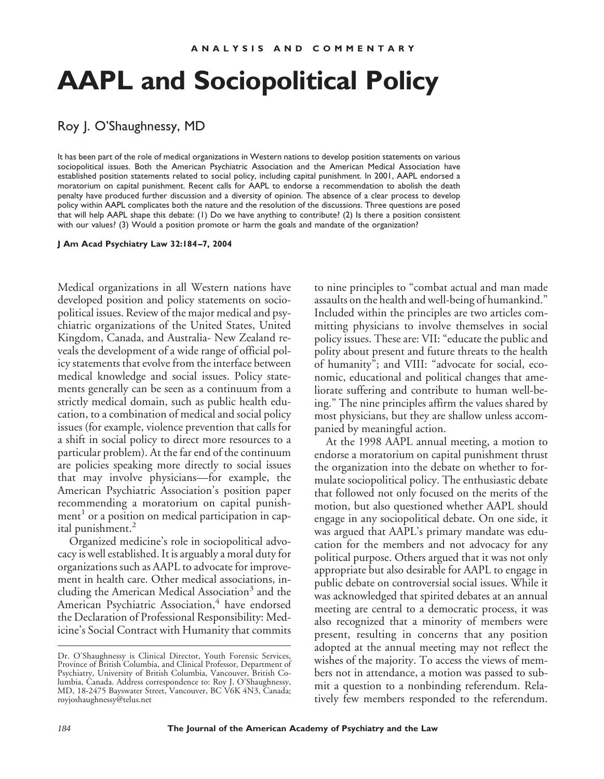## **AAPL and Sociopolitical Policy**

## Roy J. O'Shaughnessy, MD

It has been part of the role of medical organizations in Western nations to develop position statements on various sociopolitical issues. Both the American Psychiatric Association and the American Medical Association have established position statements related to social policy, including capital punishment. In 2001, AAPL endorsed a moratorium on capital punishment. Recent calls for AAPL to endorse a recommendation to abolish the death penalty have produced further discussion and a diversity of opinion. The absence of a clear process to develop policy within AAPL complicates both the nature and the resolution of the discussions. Three questions are posed that will help AAPL shape this debate: (1) Do we have anything to contribute? (2) Is there a position consistent with our values? (3) Would a position promote or harm the goals and mandate of the organization?

**J Am Acad Psychiatry Law 32:184–7, 2004**

Medical organizations in all Western nations have developed position and policy statements on sociopolitical issues. Review of the major medical and psychiatric organizations of the United States, United Kingdom, Canada, and Australia- New Zealand reveals the development of a wide range of official policy statements that evolve from the interface between medical knowledge and social issues. Policy statements generally can be seen as a continuum from a strictly medical domain, such as public health education, to a combination of medical and social policy issues (for example, violence prevention that calls for a shift in social policy to direct more resources to a particular problem). At the far end of the continuum are policies speaking more directly to social issues that may involve physicians—for example, the American Psychiatric Association's position paper recommending a moratorium on capital punishment<sup>1</sup> or a position on medical participation in capital punishment.<sup>2</sup>

Organized medicine's role in sociopolitical advocacy is well established. It is arguably a moral duty for organizations such as AAPL to advocate for improvement in health care. Other medical associations, including the American Medical Association<sup>3</sup> and the American Psychiatric Association,<sup>4</sup> have endorsed the Declaration of Professional Responsibility: Medicine's Social Contract with Humanity that commits to nine principles to "combat actual and man made assaults on the health and well-being of humankind." Included within the principles are two articles committing physicians to involve themselves in social policy issues. These are: VII: "educate the public and polity about present and future threats to the health of humanity"; and VIII: "advocate for social, economic, educational and political changes that ameliorate suffering and contribute to human well-being." The nine principles affirm the values shared by most physicians, but they are shallow unless accompanied by meaningful action.

At the 1998 AAPL annual meeting, a motion to endorse a moratorium on capital punishment thrust the organization into the debate on whether to formulate sociopolitical policy. The enthusiastic debate that followed not only focused on the merits of the motion, but also questioned whether AAPL should engage in any sociopolitical debate. On one side, it was argued that AAPL's primary mandate was education for the members and not advocacy for any political purpose. Others argued that it was not only appropriate but also desirable for AAPL to engage in public debate on controversial social issues. While it was acknowledged that spirited debates at an annual meeting are central to a democratic process, it was also recognized that a minority of members were present, resulting in concerns that any position adopted at the annual meeting may not reflect the wishes of the majority. To access the views of members not in attendance, a motion was passed to submit a question to a nonbinding referendum. Relatively few members responded to the referendum.

Dr. O'Shaughnessy is Clinical Director, Youth Forensic Services, Province of British Columbia, and Clinical Professor, Department of Psychiatry, University of British Columbia, Vancouver, British Columbia, Canada. Address correspondence to: Roy J. O'Shaughnessy, MD, 18-2475 Bayswater Street, Vancouver, BC V6K 4N3, Canada; royjoshaughnessy@telus.net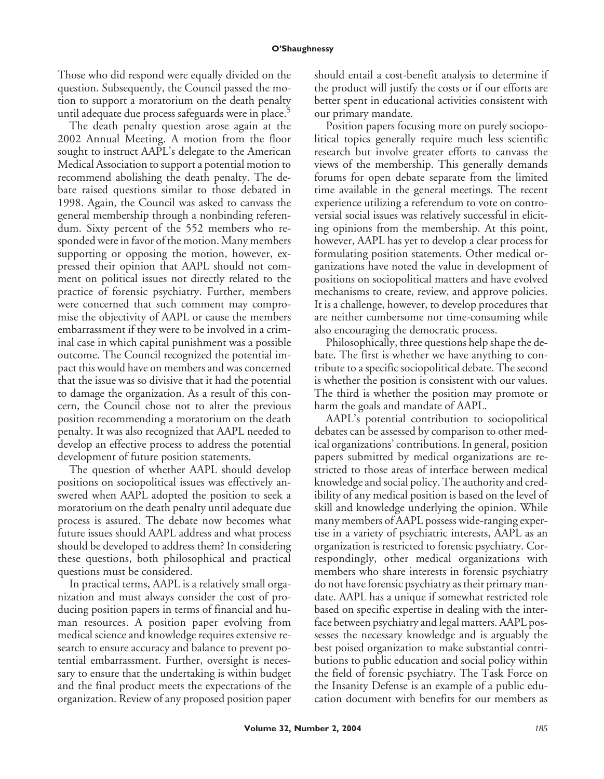Those who did respond were equally divided on the question. Subsequently, the Council passed the motion to support a moratorium on the death penalty until adequate due process safeguards were in place.<sup>5</sup>

The death penalty question arose again at the 2002 Annual Meeting. A motion from the floor sought to instruct AAPL's delegate to the American Medical Association to support a potential motion to recommend abolishing the death penalty. The debate raised questions similar to those debated in 1998. Again, the Council was asked to canvass the general membership through a nonbinding referendum. Sixty percent of the 552 members who responded were in favor of the motion. Many members supporting or opposing the motion, however, expressed their opinion that AAPL should not comment on political issues not directly related to the practice of forensic psychiatry. Further, members were concerned that such comment may compromise the objectivity of AAPL or cause the members embarrassment if they were to be involved in a criminal case in which capital punishment was a possible outcome. The Council recognized the potential impact this would have on members and was concerned that the issue was so divisive that it had the potential to damage the organization. As a result of this concern, the Council chose not to alter the previous position recommending a moratorium on the death penalty. It was also recognized that AAPL needed to develop an effective process to address the potential development of future position statements.

The question of whether AAPL should develop positions on sociopolitical issues was effectively answered when AAPL adopted the position to seek a moratorium on the death penalty until adequate due process is assured. The debate now becomes what future issues should AAPL address and what process should be developed to address them? In considering these questions, both philosophical and practical questions must be considered.

In practical terms, AAPL is a relatively small organization and must always consider the cost of producing position papers in terms of financial and human resources. A position paper evolving from medical science and knowledge requires extensive research to ensure accuracy and balance to prevent potential embarrassment. Further, oversight is necessary to ensure that the undertaking is within budget and the final product meets the expectations of the organization. Review of any proposed position paper should entail a cost-benefit analysis to determine if the product will justify the costs or if our efforts are better spent in educational activities consistent with our primary mandate.

Position papers focusing more on purely sociopolitical topics generally require much less scientific research but involve greater efforts to canvass the views of the membership. This generally demands forums for open debate separate from the limited time available in the general meetings. The recent experience utilizing a referendum to vote on controversial social issues was relatively successful in eliciting opinions from the membership. At this point, however, AAPL has yet to develop a clear process for formulating position statements. Other medical organizations have noted the value in development of positions on sociopolitical matters and have evolved mechanisms to create, review, and approve policies. It is a challenge, however, to develop procedures that are neither cumbersome nor time-consuming while also encouraging the democratic process.

Philosophically, three questions help shape the debate. The first is whether we have anything to contribute to a specific sociopolitical debate. The second is whether the position is consistent with our values. The third is whether the position may promote or harm the goals and mandate of AAPL.

AAPL's potential contribution to sociopolitical debates can be assessed by comparison to other medical organizations' contributions. In general, position papers submitted by medical organizations are restricted to those areas of interface between medical knowledge and social policy. The authority and credibility of any medical position is based on the level of skill and knowledge underlying the opinion. While many members of AAPL possess wide-ranging expertise in a variety of psychiatric interests, AAPL as an organization is restricted to forensic psychiatry. Correspondingly, other medical organizations with members who share interests in forensic psychiatry do not have forensic psychiatry as their primary mandate. AAPL has a unique if somewhat restricted role based on specific expertise in dealing with the interface between psychiatry and legal matters. AAPL possesses the necessary knowledge and is arguably the best poised organization to make substantial contributions to public education and social policy within the field of forensic psychiatry. The Task Force on the Insanity Defense is an example of a public education document with benefits for our members as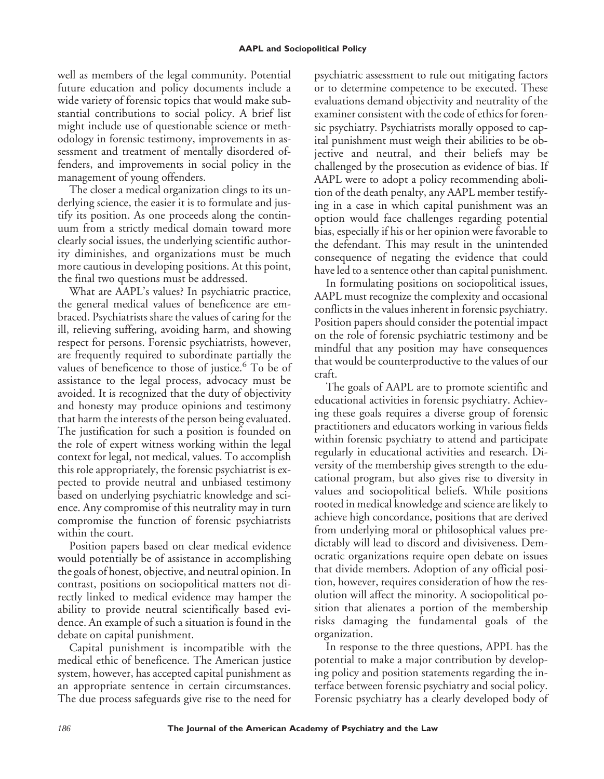well as members of the legal community. Potential future education and policy documents include a wide variety of forensic topics that would make substantial contributions to social policy. A brief list might include use of questionable science or methodology in forensic testimony, improvements in assessment and treatment of mentally disordered offenders, and improvements in social policy in the management of young offenders.

The closer a medical organization clings to its underlying science, the easier it is to formulate and justify its position. As one proceeds along the continuum from a strictly medical domain toward more clearly social issues, the underlying scientific authority diminishes, and organizations must be much more cautious in developing positions. At this point, the final two questions must be addressed.

What are AAPL's values? In psychiatric practice, the general medical values of beneficence are embraced. Psychiatrists share the values of caring for the ill, relieving suffering, avoiding harm, and showing respect for persons. Forensic psychiatrists, however, are frequently required to subordinate partially the values of beneficence to those of justice.<sup>6</sup> To be of assistance to the legal process, advocacy must be avoided. It is recognized that the duty of objectivity and honesty may produce opinions and testimony that harm the interests of the person being evaluated. The justification for such a position is founded on the role of expert witness working within the legal context for legal, not medical, values. To accomplish this role appropriately, the forensic psychiatrist is expected to provide neutral and unbiased testimony based on underlying psychiatric knowledge and science. Any compromise of this neutrality may in turn compromise the function of forensic psychiatrists within the court.

Position papers based on clear medical evidence would potentially be of assistance in accomplishing the goals of honest, objective, and neutral opinion. In contrast, positions on sociopolitical matters not directly linked to medical evidence may hamper the ability to provide neutral scientifically based evidence. An example of such a situation is found in the debate on capital punishment.

Capital punishment is incompatible with the medical ethic of beneficence. The American justice system, however, has accepted capital punishment as an appropriate sentence in certain circumstances. The due process safeguards give rise to the need for psychiatric assessment to rule out mitigating factors or to determine competence to be executed. These evaluations demand objectivity and neutrality of the examiner consistent with the code of ethics for forensic psychiatry. Psychiatrists morally opposed to capital punishment must weigh their abilities to be objective and neutral, and their beliefs may be challenged by the prosecution as evidence of bias. If AAPL were to adopt a policy recommending abolition of the death penalty, any AAPL member testifying in a case in which capital punishment was an option would face challenges regarding potential bias, especially if his or her opinion were favorable to the defendant. This may result in the unintended consequence of negating the evidence that could have led to a sentence other than capital punishment.

In formulating positions on sociopolitical issues, AAPL must recognize the complexity and occasional conflicts in the values inherent in forensic psychiatry. Position papers should consider the potential impact on the role of forensic psychiatric testimony and be mindful that any position may have consequences that would be counterproductive to the values of our craft.

The goals of AAPL are to promote scientific and educational activities in forensic psychiatry. Achieving these goals requires a diverse group of forensic practitioners and educators working in various fields within forensic psychiatry to attend and participate regularly in educational activities and research. Diversity of the membership gives strength to the educational program, but also gives rise to diversity in values and sociopolitical beliefs. While positions rooted in medical knowledge and science are likely to achieve high concordance, positions that are derived from underlying moral or philosophical values predictably will lead to discord and divisiveness. Democratic organizations require open debate on issues that divide members. Adoption of any official position, however, requires consideration of how the resolution will affect the minority. A sociopolitical position that alienates a portion of the membership risks damaging the fundamental goals of the organization.

In response to the three questions, APPL has the potential to make a major contribution by developing policy and position statements regarding the interface between forensic psychiatry and social policy. Forensic psychiatry has a clearly developed body of